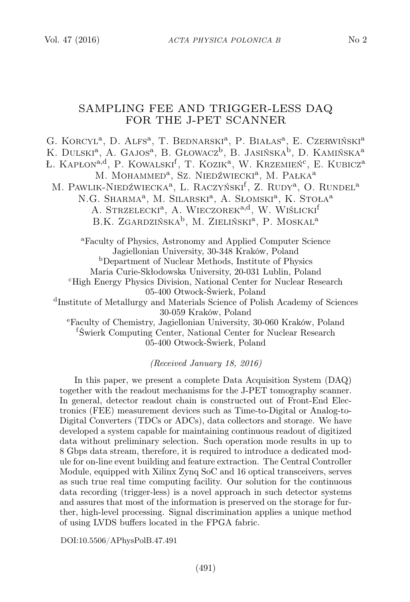# SAMPLING FEE AND TRIGGER-LESS DAQ FOR THE J-PET SCANNER

G. KORCYL<sup>a</sup>, D. Alfs<sup>a</sup>, T. BEDNARSKI<sup>a</sup>, P. BIAŁAS<sup>a</sup>, E. CZERWIŃSKI<sup>a</sup> K. DULSKI<sup>a</sup>, A. Gajos<sup>a</sup>, B. Głowacz<sup>b</sup>, B. Jasińska<sup>b</sup>, D. Kamińska<sup>a</sup> Ł. Kapłon<sup>a,d</sup>, P. Kowalski<sup>f</sup>, T. Kozik<sup>a</sup>, W. Krzemień<sup>c</sup>, E. Kubicz<sup>a</sup> M. MOHAMMED<sup>a</sup>, Sz. Niedźwiecki<sup>a</sup>, M. Pałka<sup>a</sup> M. PAWLIK-NIEDŹWIECKA<sup>a</sup>, L. RACZYŃSKI<sup>f</sup>, Z. RUDY<sup>a</sup>, O. RUNDEL<sup>a</sup> N.G. Sharma<sup>a</sup>, M. Silarski<sup>a</sup>, A. Słomski<sup>a</sup>, K. Stoła<sup>a</sup> A. STRZELECKI<sup>a</sup>, A. WIECZOREK<sup>a,d</sup>, W. WIŚLICKI<sup>f</sup> B.K. ZGARDZIŃSKA<sup>b</sup>, M. ZIELIŃSKI<sup>a</sup>, P. MOSKAL<sup>a</sup> <sup>a</sup>Faculty of Physics, Astronomy and Applied Computer Science Jagiellonian University, 30-348 Kraków, Poland <sup>b</sup>Department of Nuclear Methods, Institute of Physics Maria Curie-Skłodowska University, 20-031 Lublin, Poland <sup>c</sup>High Energy Physics Division, National Center for Nuclear Research 05-400 Otwock-Świerk, Poland d Institute of Metallurgy and Materials Science of Polish Academy of Sciences 30-059 Kraków, Poland <sup>e</sup>Faculty of Chemistry, Jagiellonian University, 30-060 Kraków, Poland <sup>f</sup>Świerk Computing Center, National Center for Nuclear Research

05-400 Otwock-Świerk, Poland

(Received January 18, 2016)

In this paper, we present a complete Data Acquisition System (DAQ) together with the readout mechanisms for the J-PET tomography scanner. In general, detector readout chain is constructed out of Front-End Electronics (FEE) measurement devices such as Time-to-Digital or Analog-to-Digital Converters (TDCs or ADCs), data collectors and storage. We have developed a system capable for maintaining continuous readout of digitized data without preliminary selection. Such operation mode results in up to 8 Gbps data stream, therefore, it is required to introduce a dedicated module for on-line event building and feature extraction. The Central Controller Module, equipped with Xilinx Zynq SoC and 16 optical transceivers, serves as such true real time computing facility. Our solution for the continuous data recording (trigger-less) is a novel approach in such detector systems and assures that most of the information is preserved on the storage for further, high-level processing. Signal discrimination applies a unique method of using LVDS buffers located in the FPGA fabric.

DOI:10.5506/APhysPolB.47.491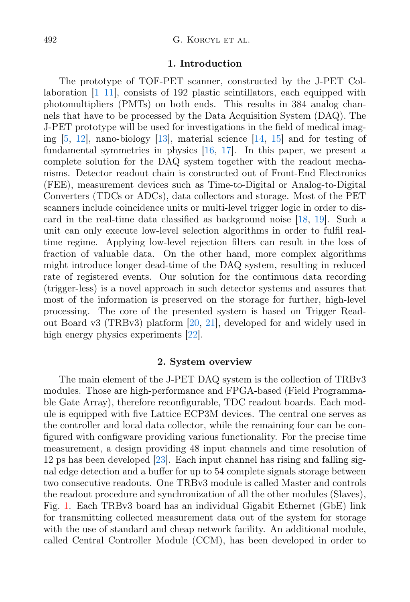#### 1. Introduction

The prototype of TOF-PET scanner, constructed by the J-PET Collaboration  $[1-11]$  $[1-11]$ , consists of 192 plastic scintillators, each equipped with photomultipliers (PMTs) on both ends. This results in 384 analog channels that have to be processed by the Data Acquisition System (DAQ). The J-PET prototype will be used for investigations in the field of medical imaging [\[5,](#page-5-2) [12\]](#page-5-3), nano-biology [\[13\]](#page-5-4), material science [\[14,](#page-5-5) [15\]](#page-5-6) and for testing of fundamental symmetries in physics [\[16,](#page-5-7) [17\]](#page-5-8). In this paper, we present a complete solution for the DAQ system together with the readout mechanisms. Detector readout chain is constructed out of Front-End Electronics (FEE), measurement devices such as Time-to-Digital or Analog-to-Digital Converters (TDCs or ADCs), data collectors and storage. Most of the PET scanners include coincidence units or multi-level trigger logic in order to discard in the real-time data classified as background noise [\[18,](#page-5-9) [19\]](#page-5-10). Such a unit can only execute low-level selection algorithms in order to fulfil realtime regime. Applying low-level rejection filters can result in the loss of fraction of valuable data. On the other hand, more complex algorithms might introduce longer dead-time of the DAQ system, resulting in reduced rate of registered events. Our solution for the continuous data recording (trigger-less) is a novel approach in such detector systems and assures that most of the information is preserved on the storage for further, high-level processing. The core of the presented system is based on Trigger Readout Board v3 (TRBv3) platform [\[20,](#page-5-11) [21\]](#page-5-12), developed for and widely used in high energy physics experiments [\[22\]](#page-5-13).

# 2. System overview

The main element of the J-PET DAQ system is the collection of TRBv3 modules. Those are high-performance and FPGA-based (Field Programmable Gate Array), therefore reconfigurable, TDC readout boards. Each module is equipped with five Lattice ECP3M devices. The central one serves as the controller and local data collector, while the remaining four can be configured with configware providing various functionality. For the precise time measurement, a design providing 48 input channels and time resolution of 12 ps has been developed [\[23\]](#page-5-14). Each input channel has rising and falling signal edge detection and a buffer for up to 54 complete signals storage between two consecutive readouts. One TRBv3 module is called Master and controls the readout procedure and synchronization of all the other modules (Slaves), Fig. [1.](#page-2-0) Each TRBv3 board has an individual Gigabit Ethernet (GbE) link for transmitting collected measurement data out of the system for storage with the use of standard and cheap network facility. An additional module, called Central Controller Module (CCM), has been developed in order to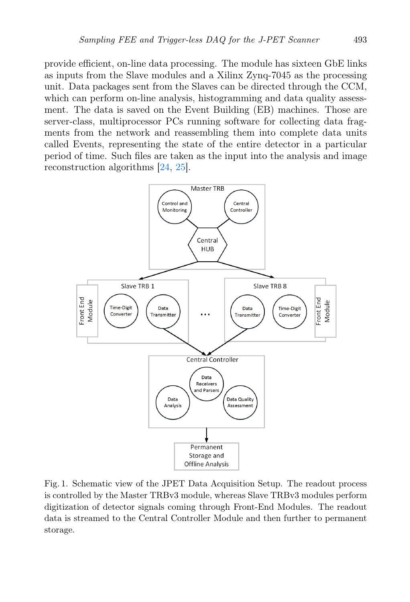provide efficient, on-line data processing. The module has sixteen GbE links as inputs from the Slave modules and a Xilinx Zynq-7045 as the processing unit. Data packages sent from the Slaves can be directed through the CCM, which can perform on-line analysis, histogramming and data quality assessment. The data is saved on the Event Building (EB) machines. Those are server-class, multiprocessor PCs running software for collecting data fragments from the network and reassembling them into complete data units called Events, representing the state of the entire detector in a particular period of time. Such files are taken as the input into the analysis and image reconstruction algorithms [\[24,](#page-5-15) [25\]](#page-5-16).



<span id="page-2-0"></span>Fig. 1. Schematic view of the JPET Data Acquisition Setup. The readout process is controlled by the Master TRBv3 module, whereas Slave TRBv3 modules perform digitization of detector signals coming through Front-End Modules. The readout data is streamed to the Central Controller Module and then further to permanent storage.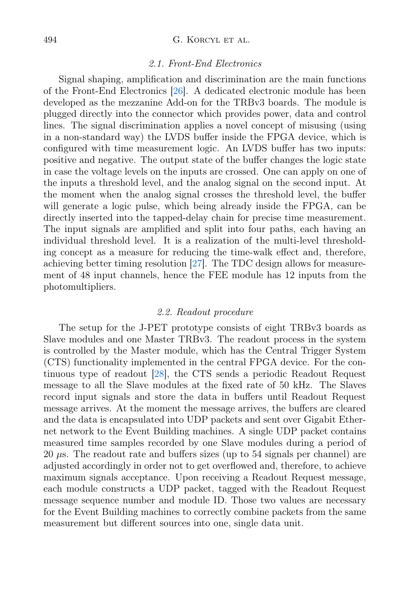#### 494 G. KORCYL ET AL.

#### 2.1. Front-End Electronics

Signal shaping, amplification and discrimination are the main functions of the Front-End Electronics [\[26\]](#page-5-17). A dedicated electronic module has been developed as the mezzanine Add-on for the TRBv3 boards. The module is plugged directly into the connector which provides power, data and control lines. The signal discrimination applies a novel concept of misusing (using in a non-standard way) the LVDS buffer inside the FPGA device, which is configured with time measurement logic. An LVDS buffer has two inputs: positive and negative. The output state of the buffer changes the logic state in case the voltage levels on the inputs are crossed. One can apply on one of the inputs a threshold level, and the analog signal on the second input. At the moment when the analog signal crosses the threshold level, the buffer will generate a logic pulse, which being already inside the FPGA, can be directly inserted into the tapped-delay chain for precise time measurement. The input signals are amplified and split into four paths, each having an individual threshold level. It is a realization of the multi-level thresholding concept as a measure for reducing the time-walk effect and, therefore, achieving better timing resolution [\[27\]](#page-5-18). The TDC design allows for measurement of 48 input channels, hence the FEE module has 12 inputs from the photomultipliers.

### 2.2. Readout procedure

The setup for the J-PET prototype consists of eight TRBv3 boards as Slave modules and one Master TRBv3. The readout process in the system is controlled by the Master module, which has the Central Trigger System (CTS) functionality implemented in the central FPGA device. For the continuous type of readout [\[28\]](#page-5-19), the CTS sends a periodic Readout Request message to all the Slave modules at the fixed rate of 50 kHz. The Slaves record input signals and store the data in buffers until Readout Request message arrives. At the moment the message arrives, the buffers are cleared and the data is encapsulated into UDP packets and sent over Gigabit Ethernet network to the Event Building machines. A single UDP packet contains measured time samples recorded by one Slave modules during a period of 20 µs. The readout rate and buffers sizes (up to 54 signals per channel) are adjusted accordingly in order not to get overflowed and, therefore, to achieve maximum signals acceptance. Upon receiving a Readout Request message, each module constructs a UDP packet, tagged with the Readout Request message sequence number and module ID. Those two values are necessary for the Event Building machines to correctly combine packets from the same measurement but different sources into one, single data unit.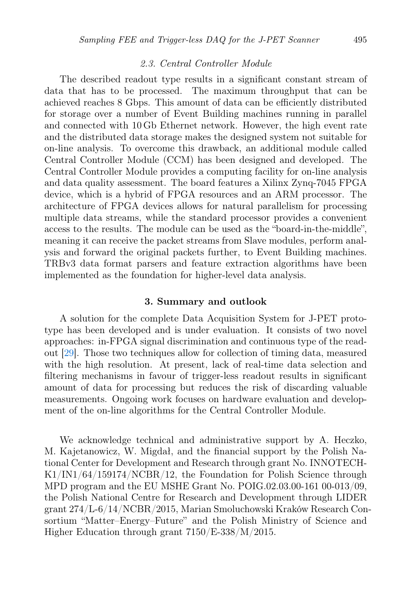# 2.3. Central Controller Module

The described readout type results in a significant constant stream of data that has to be processed. The maximum throughput that can be achieved reaches 8 Gbps. This amount of data can be efficiently distributed for storage over a number of Event Building machines running in parallel and connected with 10 Gb Ethernet network. However, the high event rate and the distributed data storage makes the designed system not suitable for on-line analysis. To overcome this drawback, an additional module called Central Controller Module (CCM) has been designed and developed. The Central Controller Module provides a computing facility for on-line analysis and data quality assessment. The board features a Xilinx Zynq-7045 FPGA device, which is a hybrid of FPGA resources and an ARM processor. The architecture of FPGA devices allows for natural parallelism for processing multiple data streams, while the standard processor provides a convenient access to the results. The module can be used as the "board-in-the-middle", meaning it can receive the packet streams from Slave modules, perform analysis and forward the original packets further, to Event Building machines. TRBv3 data format parsers and feature extraction algorithms have been implemented as the foundation for higher-level data analysis.

## 3. Summary and outlook

A solution for the complete Data Acquisition System for J-PET prototype has been developed and is under evaluation. It consists of two novel approaches: in-FPGA signal discrimination and continuous type of the readout [\[29\]](#page-5-20). Those two techniques allow for collection of timing data, measured with the high resolution. At present, lack of real-time data selection and filtering mechanisms in favour of trigger-less readout results in significant amount of data for processing but reduces the risk of discarding valuable measurements. Ongoing work focuses on hardware evaluation and development of the on-line algorithms for the Central Controller Module.

We acknowledge technical and administrative support by A. Heczko, M. Kajetanowicz, W. Migdał, and the financial support by the Polish National Center for Development and Research through grant No. INNOTECH-K1/IN1/64/159174/NCBR/12, the Foundation for Polish Science through MPD program and the EU MSHE Grant No. POIG.02.03.00-161 00-013/09, the Polish National Centre for Research and Development through LIDER grant 274/L-6/14/NCBR/2015, Marian Smoluchowski Kraków Research Consortium "Matter–Energy–Future" and the Polish Ministry of Science and Higher Education through grant 7150/E-338/M/2015.